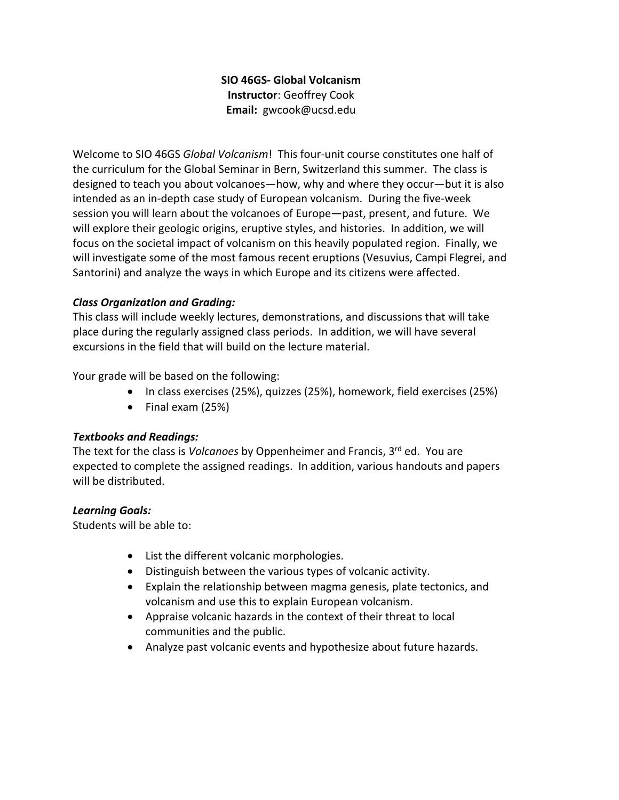# **SIO 46GS‐ Global Volcanism Instructor**: Geoffrey Cook **Email:**  gwcook@ucsd.edu

Welcome to SIO 46GS *Global Volcanism*! This four‐unit course constitutes one half of the curriculum for the Global Seminar in Bern, Switzerland this summer. The class is designed to teach you about volcanoes—how, why and where they occur—but it is also intended as an in-depth case study of European volcanism. During the five-week session you will learn about the volcanoes of Europe—past, present, and future. We will explore their geologic origins, eruptive styles, and histories. In addition, we will focus on the societal impact of volcanism on this heavily populated region. Finally, we will investigate some of the most famous recent eruptions (Vesuvius, Campi Flegrei, and Santorini) and analyze the ways in which Europe and its citizens were affected.

# *Class Organization and Grading:*

This class will include weekly lectures, demonstrations, and discussions that will take place during the regularly assigned class periods. In addition, we will have several excursions in the field that will build on the lecture material.

Your grade will be based on the following:

- In class exercises (25%), quizzes (25%), homework, field exercises (25%)
- $\bullet$  Final exam (25%)

# *Textbooks and Readings:*

The text for the class is *Volcanoes* by Oppenheimer and Francis, 3rd ed. You are expected to complete the assigned readings. In addition, various handouts and papers will be distributed.

# *Learning Goals:*

Students will be able to:

- List the different volcanic morphologies.
- Distinguish between the various types of volcanic activity.
- Explain the relationship between magma genesis, plate tectonics, and volcanism and use this to explain European volcanism.
- Appraise volcanic hazards in the context of their threat to local communities and the public.
- Analyze past volcanic events and hypothesize about future hazards.